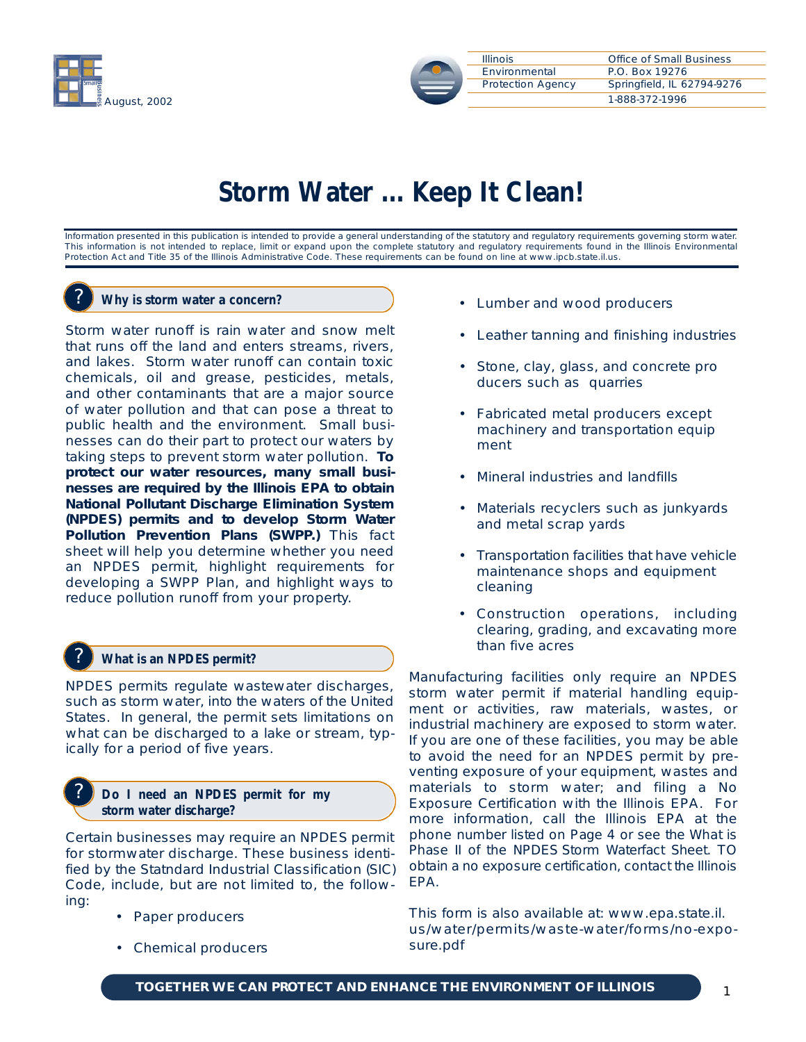



# **Storm Water ... Keep It Clean!**

Information presented in this publication is intended to provide a general understanding of the statutory and regulatory requirements governing storm water. This information is not intended to replace, limit or expand upon the complete statutory and regulatory requirements found in the Illinois Environmental Protection Act and Title 35 of the Illinois Administrative Code. These requirements can be found on line at www.ipcb.state.il.us.

## ? **Why is storm water a concern?**

Storm water runoff is rain water and snow melt that runs off the land and enters streams, rivers, and lakes. Storm water runoff can contain toxic chemicals, oil and grease, pesticides, metals, and other contaminants that are a major source of water pollution and that can pose a threat to public health and the environment. Small businesses can do their part to protect our waters by taking steps to prevent storm water pollution. **To protect our water resources, many small businesses are required by the Illinois EPA to obtain National Pollutant Discharge Elimination System (NPDES) permits and to develop Storm Water Pollution Prevention Plans (SWPP.)** This fact sheet will help you determine whether you need an NPDES permit, highlight requirements for developing a SWPP Plan, and highlight ways to reduce pollution runoff from your property.

## ? **What is an NPDES permit?**

NPDES permits regulate wastewater discharges, such as storm water, into the waters of the United States. In general, the permit sets limitations on what can be discharged to a lake or stream, typically for a period of five years.

## ? **Do I need an NPDES permit for my storm water discharge?**

Certain businesses may require an NPDES permit for stormwater discharge. These business identified by the Statndard Industrial Classification (SIC) Code, include, but are not limited to, the following:

- Paper producers
- Chemical producers
- Lumber and wood producers
- Leather tanning and finishing industries
- Stone, clay, glass, and concrete pro ducers such as quarries
- Fabricated metal producers except machinery and transportation equip ment
- Mineral industries and landfills
- Materials recyclers such as junkyards and metal scrap yards
- Transportation facilities that have vehicle maintenance shops and equipment cleaning
- Construction operations, including clearing, grading, and excavating more than five acres

Manufacturing facilities only require an NPDES storm water permit if material handling equipment or activities, raw materials, wastes, or industrial machinery are exposed to storm water. If you are one of these facilities, you may be able to avoid the need for an NPDES permit by preventing exposure of your equipment, wastes and materials to storm water; and filing a No Exposure Certification with the Illinois EPA. For more information, call the Illinois EPA at the phone number listed on Page 4 or see the What is Phase II of the NPDES Storm Waterfact Sheet. TO obtain a no exposure certification, contact the Illinois EPA.

This form is also available at: www.epa.state.il. us/water/permits/waste-water/forms/no-exposure.pdf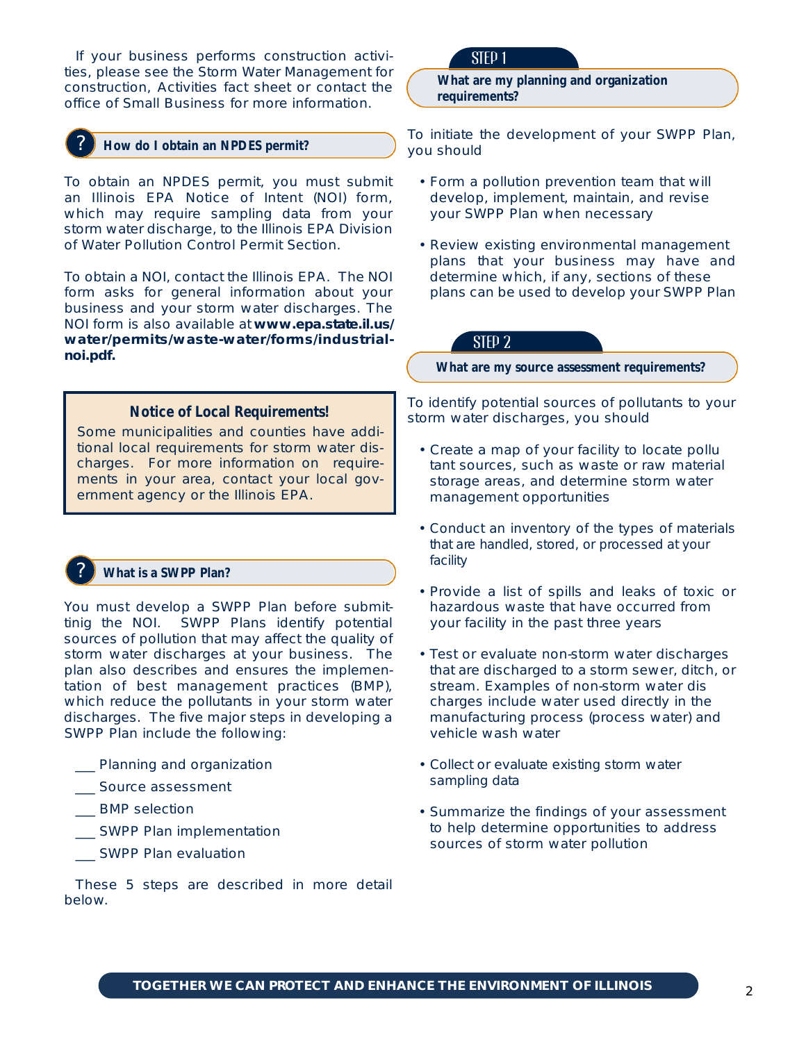If your business performs construction activities, please see the Storm Water Management for construction, Activities fact sheet or contact the office of Small Business for more information.

## ? **How do I obtain an NPDES permit?**

To obtain an NPDES permit, you must submit an Illinois EPA Notice of Intent (NOI) form, which may require sampling data from your storm water discharge, to the Illinois EPA Division of Water Pollution Control Permit Section.

To obtain a NOI, contact the Illinois EPA. The NOI form asks for general information about your business and your storm water discharges. The NOI form is also available at **www.epa.state.il.us/**  $water/permits/waste-water/forms/industrial$ **noi.pdf.**

# **Notice of Local Requirements!**

Some municipalities and counties have additional local requirements for storm water discharges. For more information on requirements in your area, contact your local government agency or the Illinois EPA.

## ? **What is a SWPP Plan?**

You must develop a SWPP Plan before submittinig the NOI. SWPP Plans identify potential sources of pollution that may affect the quality of storm water discharges at your business. The plan also describes and ensures the implementation of best management practices (BMP), which reduce the pollutants in your storm water discharges. The five major steps in developing a SWPP Plan include the following:

#### \_\_\_ Planning and organization

- \_\_\_ Source assessment
- \_\_\_ BMP selection
- \_\_\_ SWPP Plan implementation
- \_\_\_ SWPP Plan evaluation

These 5 steps are described in more detail below.

# STEP 1

**What are my planning and organization requirements?**

To initiate the development of your SWPP Plan, you should

- Form a pollution prevention team that will develop, implement, maintain, and revise your SWPP Plan when necessary
- Review existing environmental management plans that your business may have and determine which, if any, sections of these plans can be used to develop your SWPP Plan

# STEP 2

**What are my source assessment requirements?**

To identify potential sources of pollutants to your storm water discharges, you should

- Create a map of your facility to locate pollu tant sources, such as waste or raw material storage areas, and determine storm water management opportunities
- Conduct an inventory of the types of materials that are handled, stored, or processed at your f a cility
- Provide a list of spills and leaks of toxic or hazardous waste that have occurred from your facility in the past three years
- Test or evaluate non-storm water discharges that are discharged to a storm sewer, ditch, or stream. Examples of non-storm water dis charges include water used directly in the manufacturing process (process water) and vehicle wash water
- Collect or evaluate existing storm water sampling data
- Summarize the findings of your assessment to help determine opportunities to address sources of storm water pollution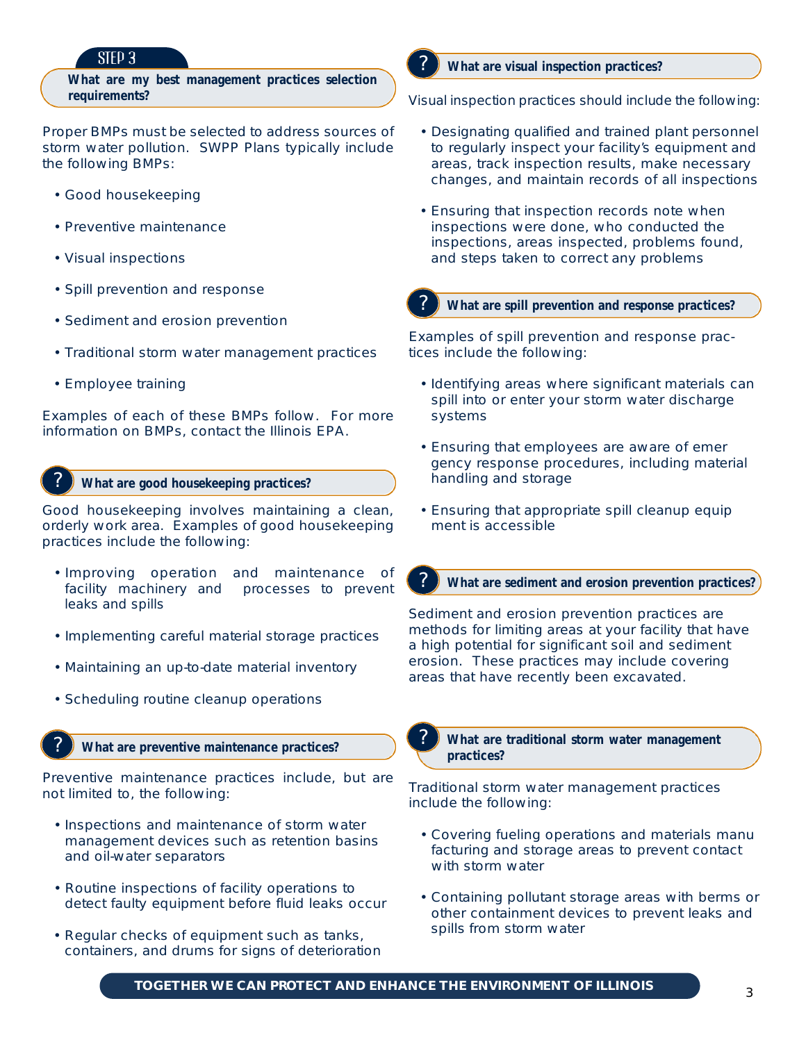# STEP 3

**What are my best management practices selection requirements?**

Proper BMPs must be selected to address sources of storm water pollution. SWPP Plans typically include the following BMPs:

- Good housekeeping
- Preventive maintenance
- Visual inspections
- Spill prevention and response
- Sediment and erosion prevention
- Traditional storm water management practices
- Employee training

Examples of each of these BMPs follow. For more information on BMPs, contact the Illinois EPA.

#### ? **What are good housekeeping practices?**

Good housekeeping involves maintaining a clean, orderly work area. Examples of good housekeeping practices include the following:

- Improving operation and maintenance of facility machinery and processes to prevent leaks and spills
- Implementing careful material storage practices
- Maintaining an up-to-date material inventory
- Scheduling routine cleanup operations

## ? **What are preventive maintenance practices?**

Preventive maintenance practices include, but are not limited to, the following:

- Inspections and maintenance of storm water management devices such as retention basins and oil-water separators
- Routine inspections of facility operations to detect faulty equipment before fluid leaks occur
- Regular checks of equipment such as tanks, containers, and drums for signs of deterioration

#### ? **What are visual inspection practices?**

Visual inspection practices should include the following:

- Designating qualified and trained plant personnel to regularly inspect your facility's equipment and areas, track inspection results, make necessary changes, and maintain records of all inspections
- Ensuring that inspection records note when inspections were done, who conducted the inspections, areas inspected, problems found, and steps taken to correct any problems
- 

## ? **What are spill prevention and response practices?**

Examples of spill prevention and response practices include the following:

- Identifying areas where significant materials can spill into or enter your storm water discharge systems
- Ensuring that employees are aware of emer gency response procedures, including material handling and storage
- Ensuring that appropriate spill cleanup equip ment is accessible



? **What are sediment and erosion prevention practices?**

Sediment and erosion prevention practices are methods for limiting areas at your facility that have a high potential for significant soil and sediment erosion. These practices may include covering areas that have recently been excavated.



? **What are traditional storm water management practices?**

Traditional storm water management practices include the following:

- Covering fueling operations and materials manu facturing and storage areas to prevent contact with storm water
- Containing pollutant storage areas with berms or other containment devices to prevent leaks and spills from storm water